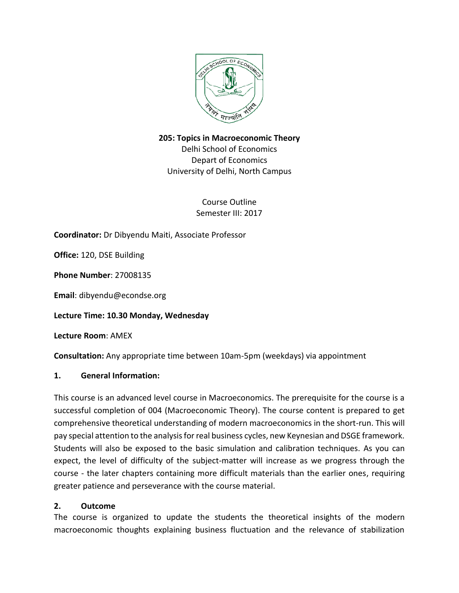

**205: Topics in Macroeconomic Theory**

Delhi School of Economics Depart of Economics University of Delhi, North Campus

> Course Outline Semester III: 2017

**Coordinator:** Dr Dibyendu Maiti, Associate Professor

**Office:** 120, DSE Building

**Phone Number**: 27008135

**Email**: dibyendu@econdse.org

**Lecture Time: 10.30 Monday, Wednesday** 

**Lecture Room**: AMEX

**Consultation:** Any appropriate time between 10am-5pm (weekdays) via appointment

#### **1. General Information:**

This course is an advanced level course in Macroeconomics. The prerequisite for the course is a successful completion of 004 (Macroeconomic Theory). The course content is prepared to get comprehensive theoretical understanding of modern macroeconomics in the short-run. This will pay special attention to the analysis for real business cycles, new Keynesian and DSGE framework. Students will also be exposed to the basic simulation and calibration techniques. As you can expect, the level of difficulty of the subject-matter will increase as we progress through the course - the later chapters containing more difficult materials than the earlier ones, requiring greater patience and perseverance with the course material.

#### **2. Outcome**

The course is organized to update the students the theoretical insights of the modern macroeconomic thoughts explaining business fluctuation and the relevance of stabilization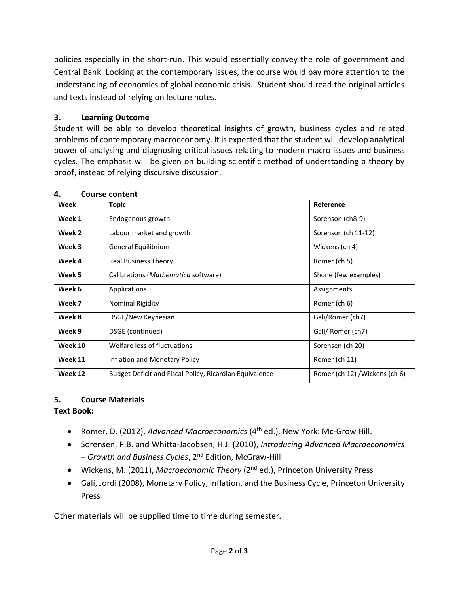policies especially in the short-run. This would essentially convey the role of government and Central Bank. Looking at the contemporary issues, the course would pay more attention to the understanding of economics of global economic crisis. Student should read the original articles and texts instead of relying on lecture notes.

## **3. Learning Outcome**

Student will be able to develop theoretical insights of growth, business cycles and related problems of contemporary macroeconomy. It is expected that the student will develop analytical power of analysing and diagnosing critical issues relating to modern macro issues and business cycles. The emphasis will be given on building scientific method of understanding a theory by proof, instead of relying discursive discussion.

| Week    | <b>Topic</b>                                            | Reference                      |
|---------|---------------------------------------------------------|--------------------------------|
| Week 1  | Endogenous growth                                       | Sorenson (ch8-9)               |
| Week 2  | Labour market and growth                                | Sorenson (ch 11-12)            |
| Week 3  | General Equilibrium                                     | Wickens (ch 4)                 |
| Week 4  | <b>Real Business Theory</b>                             | Romer (ch 5)                   |
| Week 5  | Calibrations (Mathematica software)                     | Shone (few examples)           |
| Week 6  | Applications                                            | Assignments                    |
| Week 7  | <b>Nominal Rigidity</b>                                 | Romer (ch 6)                   |
| Week 8  | DSGE/New Keynesian                                      | Gali/Romer (ch7)               |
| Week 9  | DSGE (continued)                                        | Gali/ Romer (ch7)              |
| Week 10 | Welfare loss of fluctuations                            | Sorensen (ch 20)               |
| Week 11 | Inflation and Monetary Policy                           | Romer (ch 11)                  |
| Week 12 | Budget Deficit and Fiscal Policy, Ricardian Equivalence | Romer (ch 12) / Wickens (ch 6) |

## **4. Course content**

# **5. Course Materials**

## **Text Book:**

- Romer, D. (2012), *Advanced Macroeconomics* (4<sup>th</sup> ed.), New York: Mc-Grow Hill.
- Sorensen, P.B. and Whitta-Jacobsen, H.J. (2010), *Introducing Advanced Macroeconomics – Growth and Business Cycles*, 2 nd Edition, McGraw-Hill
- Wickens, M. (2011), *Macroeconomic Theory* (2nd ed.), Princeton University Press
- Galí, Jordi (2008), Monetary Policy, Inflation, and the Business Cycle, Princeton University Press

Other materials will be supplied time to time during semester.